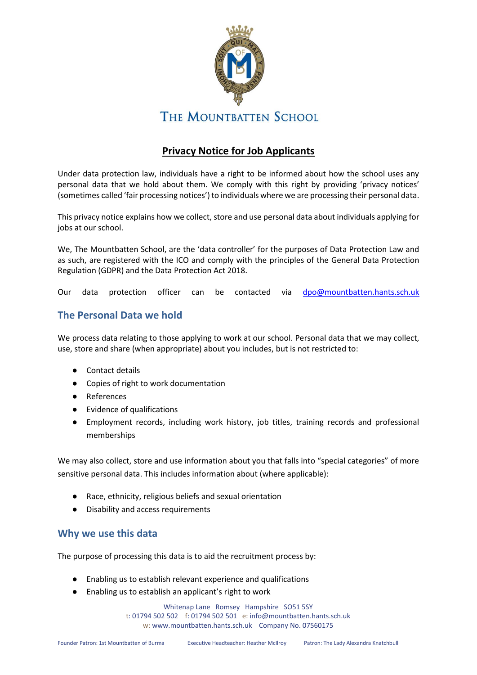

# **Privacy Notice for Job Applicants**

Under data protection law, individuals have a right to be informed about how the school uses any personal data that we hold about them. We comply with this right by providing 'privacy notices' (sometimes called 'fair processing notices') to individuals where we are processing their personal data.

This privacy notice explains how we collect, store and use personal data about individuals applying for jobs at our school.

We, The Mountbatten School, are the 'data controller' for the purposes of Data Protection Law and as such, are registered with the ICO and comply with the principles of the General Data Protection Regulation (GDPR) and the Data Protection Act 2018.

Our data protection officer can be contacted via [dpo@mountbatten.hants.sch.uk](mailto:dpo@mountbatten.hants.sch.uk) 

## **The Personal Data we hold**

We process data relating to those applying to work at our school. Personal data that we may collect, use, store and share (when appropriate) about you includes, but is not restricted to:

- Contact details
- Copies of right to work documentation
- References
- Evidence of qualifications
- Employment records, including work history, job titles, training records and professional memberships

We may also collect, store and use information about you that falls into "special categories" of more sensitive personal data. This includes information about (where applicable):

- Race, ethnicity, religious beliefs and sexual orientation
- Disability and access requirements

## **Why we use this data**

The purpose of processing this data is to aid the recruitment process by:

- Enabling us to establish relevant experience and qualifications
- Enabling us to establish an applicant's right to work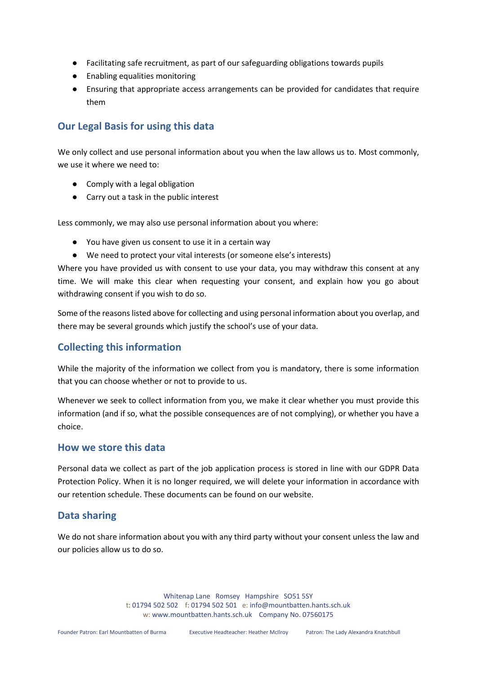- Facilitating safe recruitment, as part of our safeguarding obligations towards pupils
- Enabling equalities monitoring
- Ensuring that appropriate access arrangements can be provided for candidates that require them

## **Our Legal Basis for using this data**

We only collect and use personal information about you when the law allows us to. Most commonly, we use it where we need to:

- Comply with a legal obligation
- Carry out a task in the public interest

Less commonly, we may also use personal information about you where:

- You have given us consent to use it in a certain way
- We need to protect your vital interests (or someone else's interests)

Where you have provided us with consent to use your data, you may withdraw this consent at any time. We will make this clear when requesting your consent, and explain how you go about withdrawing consent if you wish to do so.

Some of the reasons listed above for collecting and using personal information about you overlap, and there may be several grounds which justify the school's use of your data.

## **Collecting this information**

While the majority of the information we collect from you is mandatory, there is some information that you can choose whether or not to provide to us.

Whenever we seek to collect information from you, we make it clear whether you must provide this information (and if so, what the possible consequences are of not complying), or whether you have a choice.

#### **How we store this data**

Personal data we collect as part of the job application process is stored in line with our GDPR Data Protection Policy. When it is no longer required, we will delete your information in accordance with our retention schedule. These documents can be found on our website.

## **Data sharing**

We do not share information about you with any third party without your consent unless the law and our policies allow us to do so.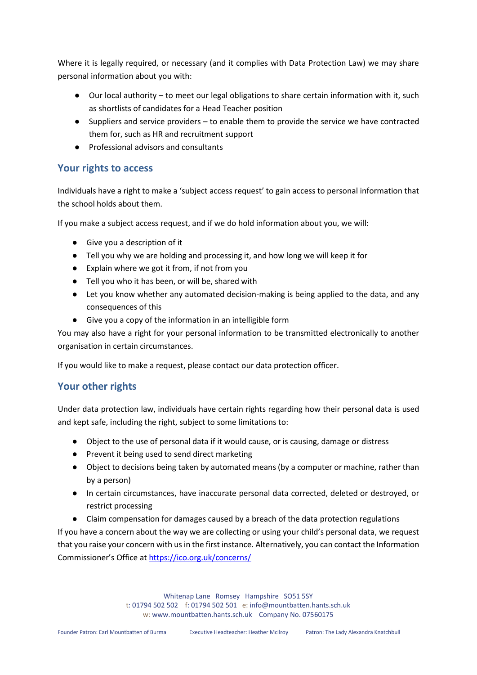Where it is legally required, or necessary (and it complies with Data Protection Law) we may share personal information about you with:

- Our local authority to meet our legal obligations to share certain information with it, such as shortlists of candidates for a Head Teacher position
- Suppliers and service providers to enable them to provide the service we have contracted them for, such as HR and recruitment support
- Professional advisors and consultants

## **Your rights to access**

Individuals have a right to make a 'subject access request' to gain access to personal information that the school holds about them.

If you make a subject access request, and if we do hold information about you, we will:

- Give you a description of it
- Tell you why we are holding and processing it, and how long we will keep it for
- Explain where we got it from, if not from you
- Tell you who it has been, or will be, shared with
- Let you know whether any automated decision-making is being applied to the data, and any consequences of this
- Give you a copy of the information in an intelligible form

You may also have a right for your personal information to be transmitted electronically to another organisation in certain circumstances.

If you would like to make a request, please contact our data protection officer.

# **Your other rights**

Under data protection law, individuals have certain rights regarding how their personal data is used and kept safe, including the right, subject to some limitations to:

- Object to the use of personal data if it would cause, or is causing, damage or distress
- Prevent it being used to send direct marketing
- Object to decisions being taken by automated means (by a computer or machine, rather than by a person)
- In certain circumstances, have inaccurate personal data corrected, deleted or destroyed, or restrict processing
- Claim compensation for damages caused by a breach of the data protection regulations

If you have a concern about the way we are collecting or using your child's personal data, we request that you raise your concern with us in the first instance. Alternatively, you can contact the Information Commissioner's Office at<https://ico.org.uk/concerns/>